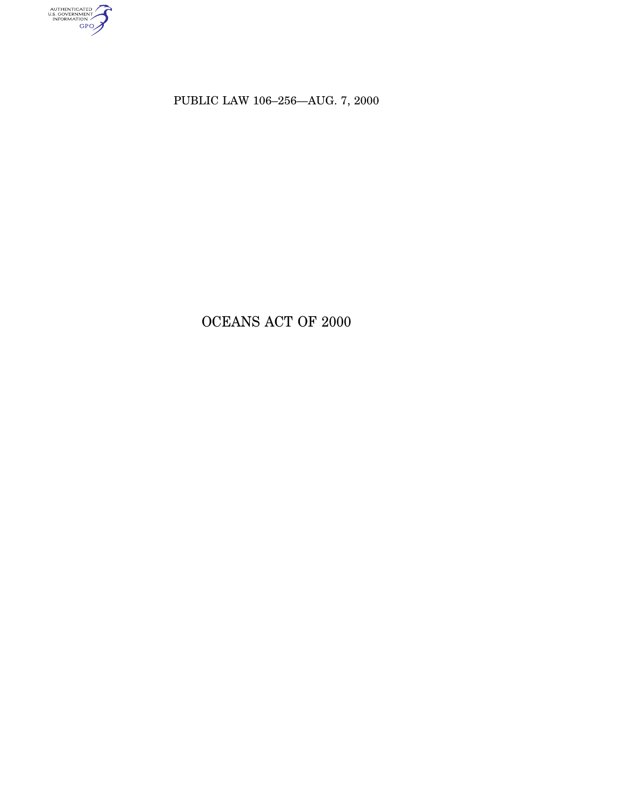

PUBLIC LAW 106–256—AUG. 7, 2000

OCEANS ACT OF 2000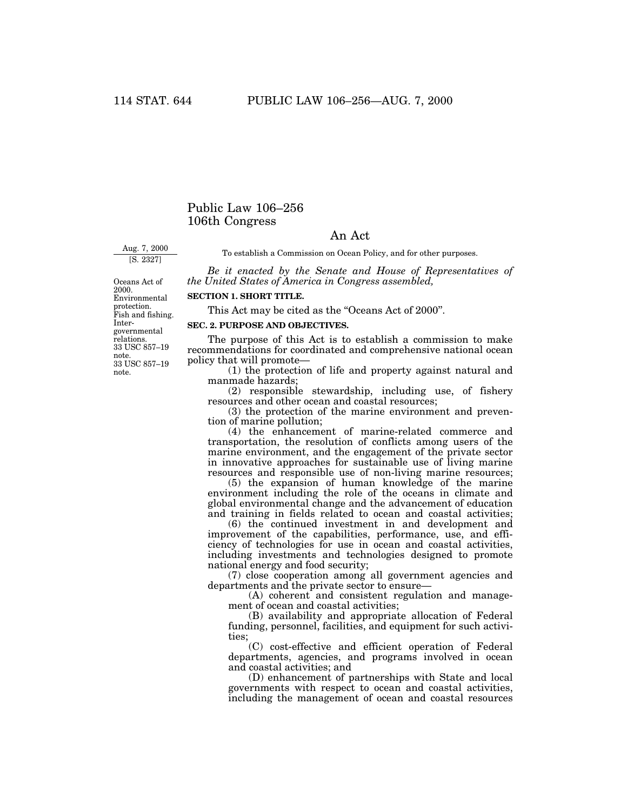# Public Law 106–256 106th Congress

## An Act

Aug. 7, 2000 [S. 2327]

To establish a Commission on Ocean Policy, and for other purposes.

*Be it enacted by the Senate and House of Representatives of the United States of America in Congress assembled,*

33 USC 857–19 note. 33 USC 857–19 note. Oceans Act of 2000. Environmental protection. Fish and fishing. Intergovernmental relations.

## **SECTION 1. SHORT TITLE.**

This Act may be cited as the "Oceans Act of 2000".

### **SEC. 2. PURPOSE AND OBJECTIVES.**

The purpose of this Act is to establish a commission to make recommendations for coordinated and comprehensive national ocean policy that will promote—

(1) the protection of life and property against natural and manmade hazards;

(2) responsible stewardship, including use, of fishery resources and other ocean and coastal resources;

(3) the protection of the marine environment and prevention of marine pollution;

(4) the enhancement of marine-related commerce and transportation, the resolution of conflicts among users of the marine environment, and the engagement of the private sector in innovative approaches for sustainable use of living marine resources and responsible use of non-living marine resources;

(5) the expansion of human knowledge of the marine environment including the role of the oceans in climate and global environmental change and the advancement of education and training in fields related to ocean and coastal activities;

(6) the continued investment in and development and improvement of the capabilities, performance, use, and efficiency of technologies for use in ocean and coastal activities, including investments and technologies designed to promote national energy and food security;

(7) close cooperation among all government agencies and departments and the private sector to ensure—

(A) coherent and consistent regulation and management of ocean and coastal activities;

(B) availability and appropriate allocation of Federal funding, personnel, facilities, and equipment for such activities;

(C) cost-effective and efficient operation of Federal departments, agencies, and programs involved in ocean and coastal activities; and

(D) enhancement of partnerships with State and local governments with respect to ocean and coastal activities, including the management of ocean and coastal resources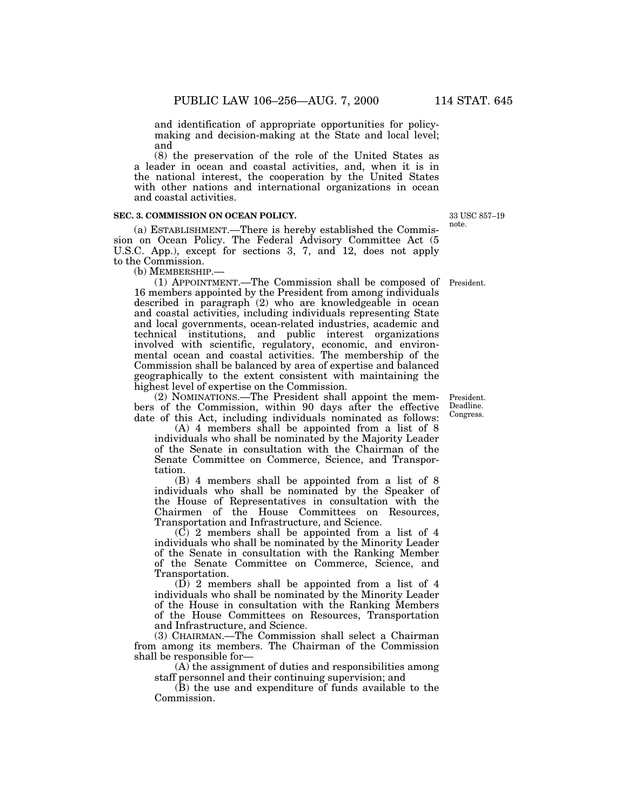and identification of appropriate opportunities for policymaking and decision-making at the State and local level; and

(8) the preservation of the role of the United States as a leader in ocean and coastal activities, and, when it is in the national interest, the cooperation by the United States with other nations and international organizations in ocean and coastal activities.

#### **SEC. 3. COMMISSION ON OCEAN POLICY.**

(a) ESTABLISHMENT.—There is hereby established the Commission on Ocean Policy. The Federal Advisory Committee Act (5 U.S.C. App.), except for sections 3, 7, and 12, does not apply to the Commission.

(b) MEMBERSHIP.—

(1) APPOINTMENT.—The Commission shall be composed of President. 16 members appointed by the President from among individuals described in paragraph (2) who are knowledgeable in ocean and coastal activities, including individuals representing State and local governments, ocean-related industries, academic and technical institutions, and public interest organizations involved with scientific, regulatory, economic, and environmental ocean and coastal activities. The membership of the Commission shall be balanced by area of expertise and balanced geographically to the extent consistent with maintaining the highest level of expertise on the Commission.

(2) NOMINATIONS.—The President shall appoint the members of the Commission, within 90 days after the effective date of this Act, including individuals nominated as follows:

(A) 4 members shall be appointed from a list of 8 individuals who shall be nominated by the Majority Leader of the Senate in consultation with the Chairman of the Senate Committee on Commerce, Science, and Transportation.

(B) 4 members shall be appointed from a list of 8 individuals who shall be nominated by the Speaker of the House of Representatives in consultation with the Chairmen of the House Committees on Resources, Transportation and Infrastructure, and Science.

 $(C)$  2 members shall be appointed from a list of 4 individuals who shall be nominated by the Minority Leader of the Senate in consultation with the Ranking Member of the Senate Committee on Commerce, Science, and Transportation.

(D) 2 members shall be appointed from a list of 4 individuals who shall be nominated by the Minority Leader of the House in consultation with the Ranking Members of the House Committees on Resources, Transportation and Infrastructure, and Science.

(3) CHAIRMAN.—The Commission shall select a Chairman from among its members. The Chairman of the Commission shall be responsible for—

 $(A)$  the assignment of duties and responsibilities among staff personnel and their continuing supervision; and

(B) the use and expenditure of funds available to the Commission.

President. Deadline. Congress.

33 USC 857–19 note.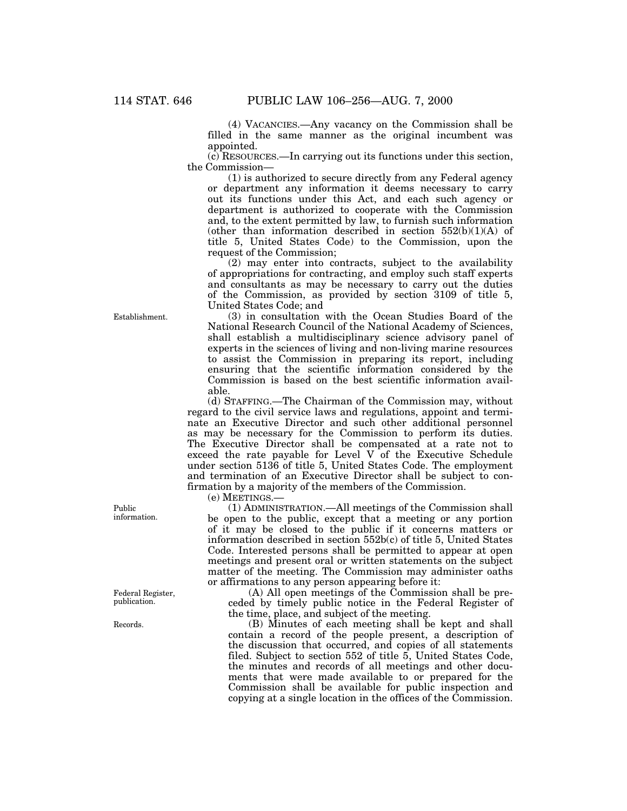(4) VACANCIES.—Any vacancy on the Commission shall be filled in the same manner as the original incumbent was appointed.

(c) RESOURCES.—In carrying out its functions under this section, the Commission—

(1) is authorized to secure directly from any Federal agency or department any information it deems necessary to carry out its functions under this Act, and each such agency or department is authorized to cooperate with the Commission and, to the extent permitted by law, to furnish such information (other than information described in section  $552(b)(1)(A)$  of title 5, United States Code) to the Commission, upon the request of the Commission;

(2) may enter into contracts, subject to the availability of appropriations for contracting, and employ such staff experts and consultants as may be necessary to carry out the duties of the Commission, as provided by section 3109 of title 5, United States Code; and

(3) in consultation with the Ocean Studies Board of the National Research Council of the National Academy of Sciences, shall establish a multidisciplinary science advisory panel of experts in the sciences of living and non-living marine resources to assist the Commission in preparing its report, including ensuring that the scientific information considered by the Commission is based on the best scientific information available.

(d) STAFFING.—The Chairman of the Commission may, without regard to the civil service laws and regulations, appoint and terminate an Executive Director and such other additional personnel as may be necessary for the Commission to perform its duties. The Executive Director shall be compensated at a rate not to exceed the rate payable for Level V of the Executive Schedule under section 5136 of title 5, United States Code. The employment and termination of an Executive Director shall be subject to confirmation by a majority of the members of the Commission.

(e) MEETINGS.—

(1) ADMINISTRATION.—All meetings of the Commission shall be open to the public, except that a meeting or any portion of it may be closed to the public if it concerns matters or information described in section 552b(c) of title 5, United States Code. Interested persons shall be permitted to appear at open meetings and present oral or written statements on the subject matter of the meeting. The Commission may administer oaths or affirmations to any person appearing before it:

(A) All open meetings of the Commission shall be preceded by timely public notice in the Federal Register of the time, place, and subject of the meeting.

(B) Minutes of each meeting shall be kept and shall contain a record of the people present, a description of the discussion that occurred, and copies of all statements filed. Subject to section 552 of title 5, United States Code, the minutes and records of all meetings and other documents that were made available to or prepared for the Commission shall be available for public inspection and copying at a single location in the offices of the Commission.

Establishment.

Federal Register, publication.

Records.

Public information.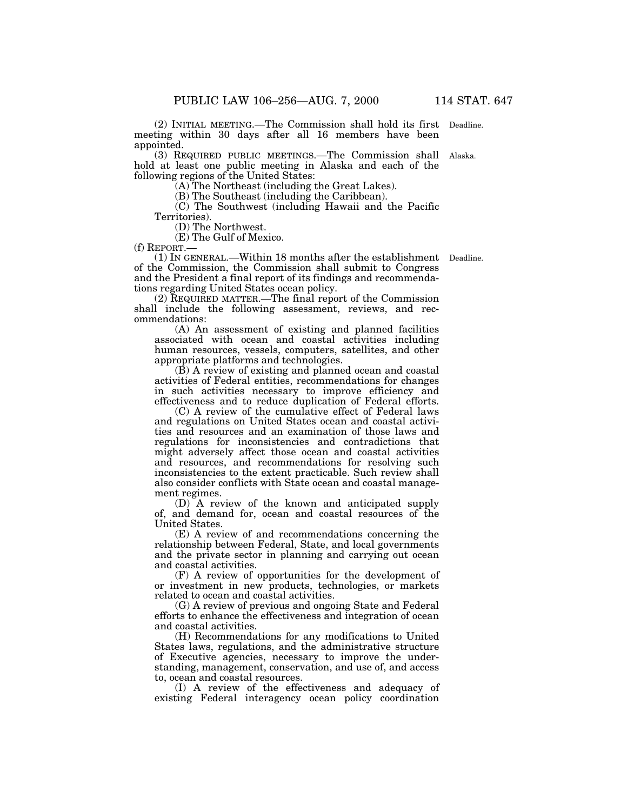meeting within 30 days after all 16 members have been appointed.

(3) REQUIRED PUBLIC MEETINGS.—The Commission shall Alaska. hold at least one public meeting in Alaska and each of the following regions of the United States:

(A) The Northeast (including the Great Lakes).

(B) The Southeast (including the Caribbean).

(C) The Southwest (including Hawaii and the Pacific Territories).

(D) The Northwest.

(E) The Gulf of Mexico.

(f) REPORT.—

(1) IN GENERAL.—Within 18 months after the establishment Deadline. of the Commission, the Commission shall submit to Congress and the President a final report of its findings and recommendations regarding United States ocean policy.

(2) REQUIRED MATTER.—The final report of the Commission shall include the following assessment, reviews, and recommendations:

(A) An assessment of existing and planned facilities associated with ocean and coastal activities including human resources, vessels, computers, satellites, and other appropriate platforms and technologies.

(B) A review of existing and planned ocean and coastal activities of Federal entities, recommendations for changes in such activities necessary to improve efficiency and effectiveness and to reduce duplication of Federal efforts.

(C) A review of the cumulative effect of Federal laws and regulations on United States ocean and coastal activities and resources and an examination of those laws and regulations for inconsistencies and contradictions that might adversely affect those ocean and coastal activities and resources, and recommendations for resolving such inconsistencies to the extent practicable. Such review shall also consider conflicts with State ocean and coastal management regimes.

(D) A review of the known and anticipated supply of, and demand for, ocean and coastal resources of the United States.

(E) A review of and recommendations concerning the relationship between Federal, State, and local governments and the private sector in planning and carrying out ocean and coastal activities.

(F) A review of opportunities for the development of or investment in new products, technologies, or markets related to ocean and coastal activities.

(G) A review of previous and ongoing State and Federal efforts to enhance the effectiveness and integration of ocean and coastal activities.

(H) Recommendations for any modifications to United States laws, regulations, and the administrative structure of Executive agencies, necessary to improve the understanding, management, conservation, and use of, and access to, ocean and coastal resources.

(I) A review of the effectiveness and adequacy of existing Federal interagency ocean policy coordination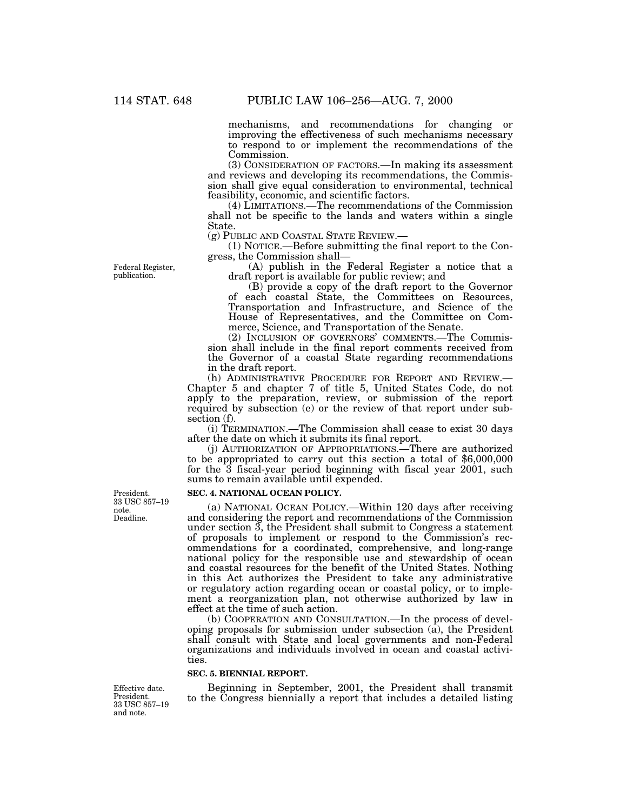mechanisms, and recommendations for changing or improving the effectiveness of such mechanisms necessary to respond to or implement the recommendations of the Commission.

(3) CONSIDERATION OF FACTORS.—In making its assessment and reviews and developing its recommendations, the Commission shall give equal consideration to environmental, technical feasibility, economic, and scientific factors.

(4) LIMITATIONS.—The recommendations of the Commission shall not be specific to the lands and waters within a single State.<br>(g) PUBLIC AND COASTAL STATE REVIEW.—

 $(1)$  NOTICE.—Before submitting the final report to the Congress, the Commission shall—

(A) publish in the Federal Register a notice that a draft report is available for public review; and

(B) provide a copy of the draft report to the Governor of each coastal State, the Committees on Resources, Transportation and Infrastructure, and Science of the House of Representatives, and the Committee on Commerce, Science, and Transportation of the Senate.

(2) INCLUSION OF GOVERNORS' COMMENTS.—The Commission shall include in the final report comments received from the Governor of a coastal State regarding recommendations in the draft report.<br>(h) ADMINISTRATIVE PROCEDURE FOR REPORT AND REVIEW.—

Chapter 5 and chapter 7 of title 5, United States Code, do not apply to the preparation, review, or submission of the report required by subsection (e) or the review of that report under subsection (f).

(i) TERMINATION.—The Commission shall cease to exist 30 days after the date on which it submits its final report.

(j) AUTHORIZATION OF APPROPRIATIONS.—There are authorized to be appropriated to carry out this section a total of \$6,000,000 for the 3 fiscal-year period beginning with fiscal year 2001, such sums to remain available until expended.

## **SEC. 4. NATIONAL OCEAN POLICY.**

(a) NATIONAL OCEAN POLICY.—Within 120 days after receiving and considering the report and recommendations of the Commission under section  $\overline{3}$ , the President shall submit to Congress a statement of proposals to implement or respond to the Commission's recommendations for a coordinated, comprehensive, and long-range national policy for the responsible use and stewardship of ocean and coastal resources for the benefit of the United States. Nothing in this Act authorizes the President to take any administrative or regulatory action regarding ocean or coastal policy, or to implement a reorganization plan, not otherwise authorized by law in effect at the time of such action.

(b) COOPERATION AND CONSULTATION.—In the process of developing proposals for submission under subsection  $(a)$ , the President shall consult with State and local governments and non-Federal organizations and individuals involved in ocean and coastal activities.

#### **SEC. 5. BIENNIAL REPORT.**

Beginning in September, 2001, the President shall transmit to the Congress biennially a report that includes a detailed listing

Federal Register, publication.

Deadline. President. 33 USC 857–19 note.

Effective date. President. 33 USC 857–19 and note.